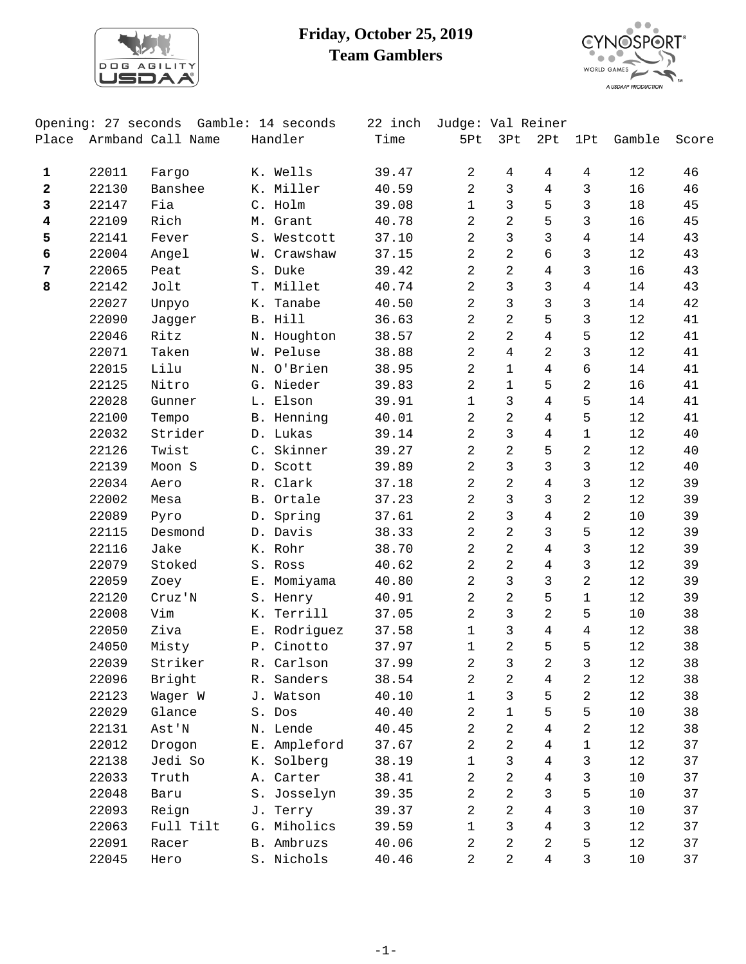

## **Friday, October 25, 2019 Team Gamblers**



|                         | Opening: 27 seconds | Gamble: 14 seconds | 22 inch      | Judge: Val Reiner |                |                   |                |                |        |       |
|-------------------------|---------------------|--------------------|--------------|-------------------|----------------|-------------------|----------------|----------------|--------|-------|
| Place                   |                     | Armband Call Name  | Handler      | Time              | 5Pt            | 3Pt               | 2Pt            | 1Pt            | Gamble | Score |
| $\mathbf 1$             | 22011               | Fargo              | K. Wells     | 39.47             | 2              | 4                 | $\overline{4}$ | 4              | 12     | 46    |
| 2                       | 22130               | Banshee            | K. Miller    | 40.59             | 2              | 3                 | $\overline{4}$ | 3              | 16     | 46    |
| 3                       | 22147               | Fia                | C. Holm      | 39.08             | $\mathbf{1}$   | $\mathbf{3}$      | 5              | 3              | 18     | 45    |
| $\overline{\mathbf{4}}$ | 22109               | Rich               | M. Grant     | 40.78             | 2              | $\overline{2}$    | 5              | 3              | 16     | 45    |
| 5                       | 22141               | Fever              | S. Westcott  | 37.10             | $\overline{a}$ | $\mathsf{3}$      | $\overline{3}$ | $\overline{4}$ | 14     | 43    |
| 6                       | 22004               | Angel              | W. Crawshaw  | 37.15             | 2              | 2                 | 6              | 3              | 12     | 43    |
| 7                       | 22065               | Peat               | S. Duke      | 39.42             | 2              | $\overline{2}$    | 4              | 3              | 16     | 43    |
| 8                       | 22142               | Jolt               | T. Millet    | 40.74             | 2              | $\mathsf{3}$      | $\mathbf{3}$   | $\overline{4}$ | 14     | 43    |
|                         | 22027               | Unpyo              | K. Tanabe    | 40.50             | $\overline{2}$ | $\mathsf{3}$      | $\overline{3}$ | 3              | 14     | 42    |
|                         | 22090               | Jagger             | B. Hill      | 36.63             | 2              | $\overline{a}$    | 5              | 3              | 12     | 41    |
|                         | 22046               | Ritz               | N. Houghton  | 38.57             | 2              | $\overline{2}$    | $\overline{4}$ | 5              | 12     | 41    |
|                         | 22071               | Taken              | W. Peluse    | 38.88             | 2              | $\overline{4}$    | $\overline{a}$ | 3              | 12     | 41    |
|                         | 22015               | Lilu               | N. O'Brien   | 38.95             | 2              | $\mathbf{1}$      | $\overline{4}$ | б              | 14     | 41    |
|                         | 22125               | Nitro              | G. Nieder    | 39.83             | 2              | $\mathbf{1}$      | 5              | 2              | 16     | 41    |
|                         | 22028               | Gunner             | L. Elson     | 39.91             | $\mathbf{1}$   | 3                 | $\overline{4}$ | 5              | 14     | 41    |
|                         | 22100               | Tempo              | B. Henning   | 40.01             | 2              | $\overline{2}$    | $\overline{4}$ | 5              | $12$   | 41    |
|                         | 22032               | Strider            | D. Lukas     | 39.14             | 2              | $\mathbf{3}$      | $\overline{4}$ | $\mathbf 1$    | $12$   | 40    |
|                         | 22126               | Twist              | C. Skinner   | 39.27             | 2              | 2                 | 5              | 2              | 12     | 40    |
|                         | 22139               | Moon S             | D. Scott     | 39.89             | $\overline{2}$ | 3                 | $\mathsf{3}$   | 3              | 12     | 40    |
|                         | 22034               | Aero               | R. Clark     | 37.18             | 2              | $\overline{2}$    | $\overline{4}$ | $\mathfrak{Z}$ | 12     | 39    |
|                         | 22002               | Mesa               | B. Ortale    | 37.23             | $\overline{a}$ | $\mathfrak{Z}$    | $\mathsf{3}$   | $\overline{2}$ | 12     | 39    |
|                         | 22089               | Pyro               | D. Spring    | 37.61             | $\overline{a}$ | $\mathbf{3}$      | $\overline{4}$ | 2              | 10     | 39    |
|                         | 22115               | Desmond            | D. Davis     | 38.33             | 2              | 2                 | 3              | 5              | 12     | 39    |
|                         | 22116               | Jake               | K. Rohr      | 38.70             | 2              | $\overline{2}$    | $\overline{4}$ | 3              | 12     | 39    |
|                         | 22079               | Stoked             |              | 40.62             | $\overline{a}$ | $\overline{a}$    | $\overline{4}$ | 3              | 12     | 39    |
|                         |                     |                    | S. Ross      |                   | $\overline{a}$ | $\mathbf{3}$      | $\overline{3}$ | 2              |        |       |
|                         | 22059               | Zoey               | E. Momiyama  | 40.80             |                |                   |                |                | 12     | 39    |
|                         | 22120               | Cruz'N             | S. Henry     | 40.91             | 2              | 2<br>$\mathbf{3}$ | 5              | $\mathbf{1}$   | 12     | 39    |
|                         | 22008               | Vim                | K. Terrill   | 37.05             | 2              |                   | $\overline{a}$ | 5              | 10     | 38    |
|                         | 22050               | Ziva               | E. Rodriguez | 37.58             | $\mathbf{1}$   | $\mathsf{3}$      | $\overline{4}$ | 4              | 12     | 38    |
|                         | 24050               | Misty              | P. Cinotto   | 37.97             | $\mathbf{1}$   | $\overline{2}$    | 5              | 5              | 12     | 38    |
|                         | 22039               | Striker            | R. Carlson   | 37.99             | $\overline{2}$ | 3                 | 2              | 3              | 12     | 38    |
|                         | 22096               | Bright             | R. Sanders   | 38.54             | 2              | 2                 | 4              | 2              | 12     | 38    |
|                         | 22123               | Wager W            | J. Watson    | 40.10             | $\mathbf 1$    | $\mathsf{3}$      | 5              | 2              | 12     | 38    |
|                         | 22029               | Glance             | S. Dos       | 40.40             | 2              | $\mathbf{1}$      | 5              | 5              | 10     | 38    |
|                         | 22131               | Ast'N              | N. Lende     | 40.45             | 2              | $\overline{2}$    | 4              | 2              | 12     | 38    |
|                         | 22012               | Drogon             | E. Ampleford | 37.67             | $\overline{a}$ | $\overline{2}$    | 4              | 1              | 12     | 37    |
|                         | 22138               | Jedi So            | K. Solberg   | 38.19             | $\mathbf 1$    | $\mathsf{3}$      | 4              | 3              | 12     | 37    |
|                         | 22033               | Truth              | A. Carter    | 38.41             | 2              | $\sqrt{2}$        | 4              | 3              | $10$   | 37    |
|                         | 22048               | Baru               | S. Josselyn  | 39.35             | 2              | 2                 | $\mathsf{3}$   | 5              | 10     | 37    |
|                         | 22093               | Reign              | J. Terry     | 39.37             | 2              | 2                 | 4              | 3              | 10     | 37    |
|                         | 22063               | Full Tilt          | G. Miholics  | 39.59             | $\mathbf{1}$   | $\mathfrak{Z}$    | $\overline{4}$ | 3              | 12     | 37    |
|                         | 22091               | Racer              | B. Ambruzs   | 40.06             | $\sqrt{2}$     | $\overline{2}$    | 2              | 5              | 12     | 37    |
|                         | 22045               | Hero               | S. Nichols   | 40.46             | 2              | 2                 | 4              | 3              | 10     | 37    |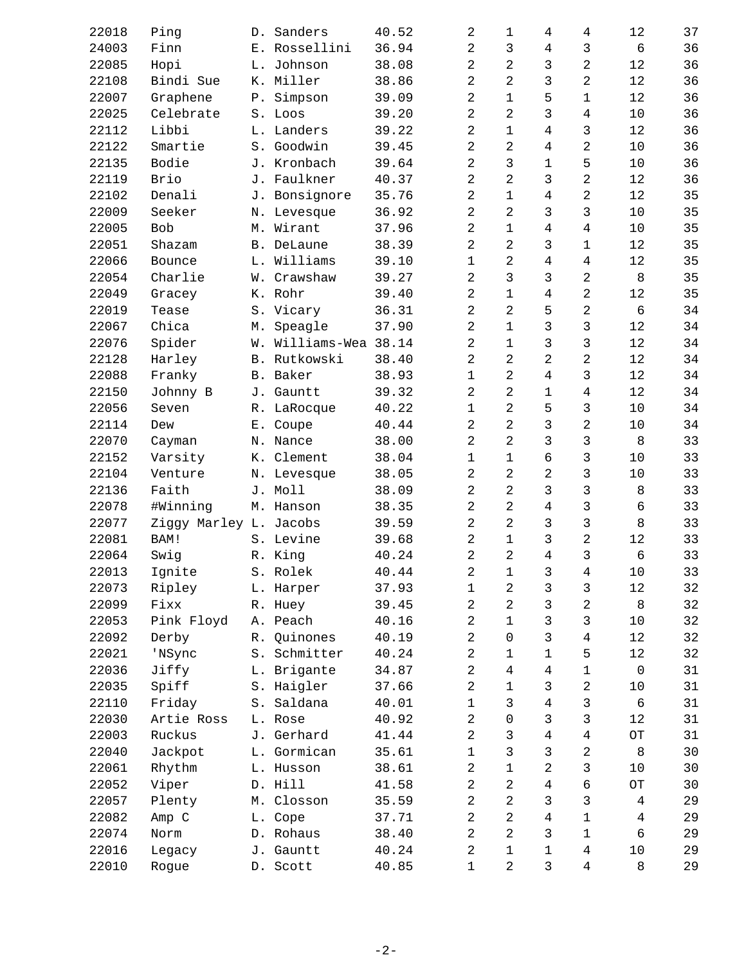| 22018 | Ping                   |       | D. Sanders            | 40.52 | $\overline{2}$ | 1              | 4              | 4              | 12                       | 37 |
|-------|------------------------|-------|-----------------------|-------|----------------|----------------|----------------|----------------|--------------------------|----|
| 24003 | Finn                   |       | E. Rossellini         | 36.94 | 2              | 3              | 4              | 3              | 6                        | 36 |
| 22085 | Hopi                   |       | L. Johnson            | 38.08 | 2              | 2              | 3              | 2              | 12                       | 36 |
| 22108 | Bindi Sue              |       | K. Miller             | 38.86 | $\overline{2}$ | 2              | 3              | 2              | 12                       | 36 |
| 22007 | Graphene               | Ρ.    | Simpson               | 39.09 | $\overline{2}$ | $\mathbf 1$    | 5              | 1              | 12                       | 36 |
| 22025 | Celebrate              |       | S. Loos               | 39.20 | $\overline{2}$ | 2              | 3              | $\overline{4}$ | 10                       | 36 |
| 22112 | Libbi                  |       | L. Landers            | 39.22 | $\overline{2}$ | $\mathbf 1$    | 4              | 3              | 12                       | 36 |
| 22122 | Smartie                |       | S. Goodwin            | 39.45 | $\overline{2}$ | 2              | 4              | 2              | 10                       | 36 |
| 22135 | Bodie                  |       | J. Kronbach           | 39.64 | $\overline{2}$ | 3              | $\mathbf{1}$   | 5              | 10                       | 36 |
| 22119 | Brio                   |       | J. Faulkner           | 40.37 | $\overline{a}$ | 2              | 3              | $\overline{2}$ | 12                       | 36 |
| 22102 | Denali                 |       | J. Bonsignore         | 35.76 | $\overline{2}$ | $\mathbf{1}$   | $\overline{4}$ | 2              | 12                       | 35 |
| 22009 | Seeker                 |       | N. Levesque           | 36.92 | $\overline{2}$ | 2              | 3              | 3              | $10$                     | 35 |
| 22005 | <b>Bob</b>             |       | M. Wirant             | 37.96 | $\overline{2}$ | $\mathbf{1}$   | 4              | $\overline{4}$ | 10                       | 35 |
| 22051 | Shazam                 |       | B. DeLaune            | 38.39 | $\overline{a}$ | 2              | 3              | $\mathbf 1$    | 12                       | 35 |
| 22066 | Bounce                 |       | L. Williams           | 39.10 | $\mathbf 1$    | 2              | 4              | $\overline{4}$ | 12                       | 35 |
| 22054 | Charlie                |       | W. Crawshaw           | 39.27 | $\overline{2}$ | 3              | 3              | $\overline{2}$ | 8                        | 35 |
| 22049 | Gracey                 |       | K. Rohr               | 39.40 | $\overline{2}$ | $\mathbf{1}$   | 4              | $\overline{2}$ | 12                       | 35 |
| 22019 | Tease                  |       | S. Vicary             | 36.31 | $\overline{a}$ | 2              | 5              | 2              | 6                        | 34 |
| 22067 | Chica                  | М.    | Speagle               | 37.90 | 2              | $\mathbf 1$    | 3              | 3              | 12                       | 34 |
| 22076 | Spider                 |       | W. Williams-Wea 38.14 |       | $\overline{2}$ | $\mathbf 1$    | 3              | 3              | 12                       | 34 |
| 22128 | Harley                 |       | B. Rutkowski          | 38.40 | $\overline{2}$ | 2              | $\overline{2}$ | $\overline{a}$ | 12                       | 34 |
| 22088 | Franky                 |       | B. Baker              | 38.93 | $\mathbf{1}$   | 2              | 4              | 3              | 12                       | 34 |
| 22150 | Johnny B               | J.    | Gauntt                | 39.32 | 2              | 2              | 1              | $\overline{4}$ | 12                       | 34 |
| 22056 | Seven                  |       | R. LaRocque           | 40.22 | $\mathbf{1}$   | 2              | 5              | $\mathsf{3}$   | 10                       | 34 |
| 22114 | Dew                    | $E$ . | Coupe                 | 40.44 | $\overline{2}$ | $\overline{2}$ | 3              | $\overline{a}$ | 10                       | 34 |
| 22070 | Cayman                 |       | N. Nance              | 38.00 | $\overline{a}$ | 2              | 3              | 3              | 8                        | 33 |
| 22152 | Varsity                |       | K. Clement            | 38.04 | $\mathbf{1}$   | $\mathbf 1$    | 6              | 3              | 10                       | 33 |
| 22104 | Venture                |       | N. Levesque           | 38.05 | 2              | $\overline{2}$ | $\overline{a}$ | 3              | $10$                     | 33 |
| 22136 | Faith                  |       | J. Moll               | 38.09 | $\overline{2}$ | 2              | 3              | 3              | $\,8\,$                  | 33 |
| 22078 | #Winning               |       | M. Hanson             | 38.35 | $\overline{2}$ | 2              | 4              | 3              | 6                        | 33 |
| 22077 | Ziggy Marley L. Jacobs |       |                       | 39.59 | 2              | 2              | 3              | 3              | 8                        | 33 |
| 22081 | BAM!                   |       | S. Levine             | 39.68 | 2              | $\mathbf{1}$   | 3              | 2              | $1\,2$                   | 33 |
| 22064 | Swig                   |       | R. King               | 40.24 | $\overline{2}$ | 2              | $\overline{4}$ | 3              | 6                        | 33 |
| 22013 | Ignite                 |       | S. Rolek              | 40.44 | 2              | 1              | 3              | 4              | 10                       | 33 |
| 22073 | Ripley                 |       | L. Harper             | 37.93 | 1              | 2              | 3              | 3              | $1\,2$                   | 32 |
| 22099 | Fixx                   |       | R. Huey               | 39.45 | 2              | 2              | 3              | 2              | $\,8\,$                  | 32 |
| 22053 | Pink Floyd             |       | A. Peach              | 40.16 | 2              | $\mathbf{1}$   | 3              | 3              | 10                       | 32 |
| 22092 | Derby                  | R.    | Quinones              | 40.19 | 2              | $\Omega$       | 3              | $\overline{4}$ | 12                       | 32 |
| 22021 | 'NSync                 | S.    | Schmitter             | 40.24 | 2              | 1              | 1              | 5              | 12                       | 32 |
| 22036 | Jiffy                  |       | L. Brigante           | 34.87 | 2              | 4              | 4              | 1              | $\mathbf 0$              | 31 |
| 22035 | Spiff                  |       | S. Haigler            | 37.66 | $\overline{2}$ | $\mathbf 1$    | 3              | 2              | 10                       | 31 |
| 22110 | Friday                 |       | S. Saldana            | 40.01 | 1              | 3              | 4              | 3              | 6                        | 31 |
| 22030 | Artie Ross             |       | L. Rose               | 40.92 | 2              | 0              | 3              | 3              | 12                       | 31 |
| 22003 | Ruckus                 |       | J. Gerhard            | 41.44 | 2              | 3              | 4              | $\overline{4}$ | $\mathcal{C}\mathcal{T}$ | 31 |
| 22040 | Jackpot                |       | L. Gormican           | 35.61 | $\mathbf{1}$   | 3              | 3              | 2              | 8                        | 30 |
| 22061 | Rhythm                 |       | L. Husson             | 38.61 | 2              | $\mathbf 1$    | 2              | 3              | 10                       | 30 |
| 22052 | Viper                  |       | D. Hill               | 41.58 | 2              | 2              | 4              | 6              | $\hbox{O}\hbox{T}$       | 30 |
| 22057 | Plenty                 |       | M. Closson            | 35.59 | 2              | 2              | 3              | 3              | $\overline{4}$           | 29 |
| 22082 | Amp C                  |       | L. Cope               | 37.71 | $\overline{2}$ | 2              | 4              | 1              | $\overline{4}$           | 29 |
| 22074 | Norm                   |       | D. Rohaus             | 38.40 | 2              | 2              | 3              | $\mathbf 1$    | 6                        | 29 |
| 22016 | Legacy                 |       | J. Gauntt             | 40.24 | 2              | 1              | 1              | $\overline{4}$ | 10                       | 29 |
| 22010 | Rogue                  |       | D. Scott              | 40.85 | 1              | 2              | 3              | $\overline{4}$ | 8                        | 29 |
|       |                        |       |                       |       |                |                |                |                |                          |    |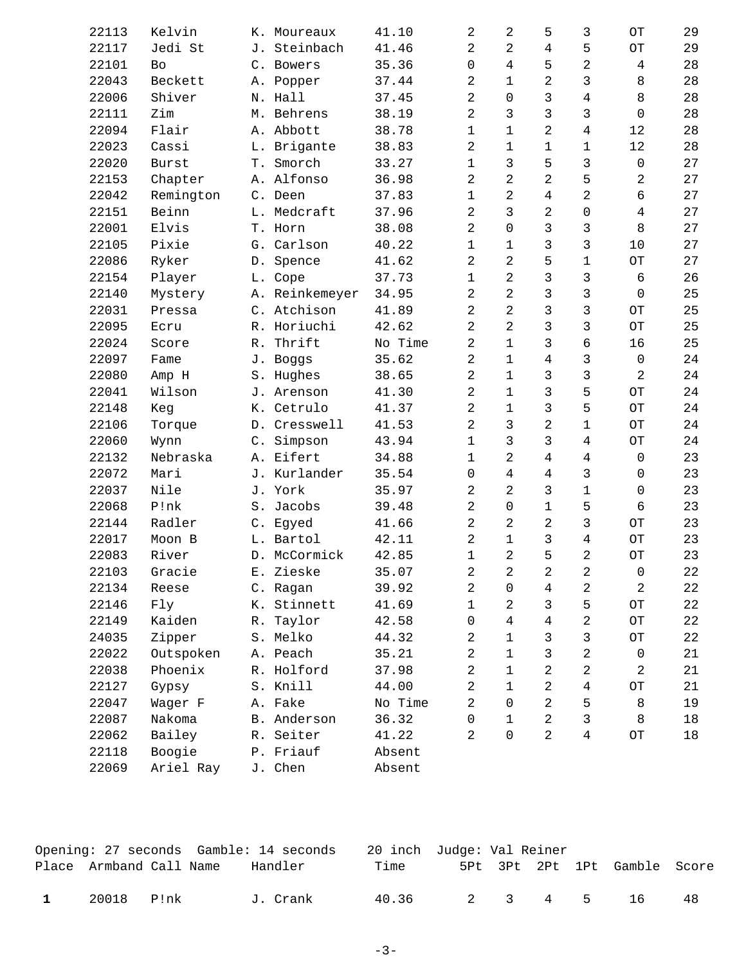| 22113 | Kelvin       |       | K. Moureaux    | 41.10   | 2              | 2              | 5              | 3           | OT                     | 29     |
|-------|--------------|-------|----------------|---------|----------------|----------------|----------------|-------------|------------------------|--------|
| 22117 | Jedi St      |       | J. Steinbach   | 41.46   | 2              | 2              | $\overline{4}$ | 5           | $\hbox{OT}$            | 29     |
| 22101 | Bo           |       | C. Bowers      | 35.36   | 0              | 4              | 5              | 2           | 4                      | 28     |
| 22043 | Beckett      |       | A. Popper      | 37.44   | $\overline{a}$ | $\mathbf 1$    | $\overline{2}$ | 3           | 8                      | 28     |
| 22006 | Shiver       |       | N. Hall        | 37.45   | $\overline{a}$ | $\Omega$       | 3              | 4           | 8                      | 28     |
| 22111 | Zim          |       | M. Behrens     | 38.19   | $\overline{2}$ | 3              | 3              | 3           | $\mathbf 0$            | 28     |
| 22094 | Flair        |       | A. Abbott      | 38.78   | $\mathbf{1}$   | $\mathbf{1}$   | $\overline{2}$ | 4           | 12                     | 28     |
| 22023 | Cassi        |       | L. Brigante    | 38.83   | $\overline{a}$ | $\mathbf{1}$   | $\mathbf{1}$   | $\mathbf 1$ | 12                     | 28     |
| 22020 | <b>Burst</b> | T.    | Smorch         | 33.27   | $\mathbf{1}$   | 3              | 5              | 3           | $\mathsf{O}\xspace$    | 27     |
| 22153 | Chapter      |       | A. Alfonso     | 36.98   | $\overline{c}$ | 2              | 2              | 5           | 2                      | 27     |
| 22042 | Remington    |       | C. Deen        | 37.83   | $\mathbf{1}$   | $\overline{2}$ | $\overline{4}$ | 2           | 6                      | 27     |
| 22151 | Beinn        |       | L. Medcraft    | 37.96   | $\overline{a}$ | 3              | $\overline{2}$ | 0           | 4                      | 27     |
| 22001 | Elvis        |       | T. Horn        | 38.08   | $\overline{a}$ | $\Omega$       | 3              | 3           | 8                      | 27     |
| 22105 | Pixie        |       | G. Carlson     | 40.22   | $\mathbf{1}$   | $\mathbf{1}$   | 3              | 3           | 10                     | 27     |
| 22086 | Ryker        |       | D. Spence      | 41.62   | $\overline{a}$ | $\overline{2}$ | 5              | $\mathbf 1$ | $\hbox{OT}$            | 27     |
| 22154 | Player       |       | L. Cope        | 37.73   | $\mathbf{1}$   | $\overline{2}$ | 3              | 3           | $\epsilon$             | 26     |
| 22140 | Mystery      |       | A. Reinkemeyer | 34.95   | $\overline{2}$ | $\overline{2}$ | 3              | 3           | $\Omega$               | 25     |
| 22031 | Pressa       |       | C. Atchison    | 41.89   | $\overline{a}$ | 2              | 3              | 3           | OT                     | 25     |
| 22095 | Ecru         |       | R. Horiuchi    | 42.62   | 2              | $\overline{2}$ | 3              | 3           | $\overline{\text{OT}}$ | 25     |
| 22024 | Score        |       | R. Thrift      | No Time | $\overline{a}$ | $\mathbf{1}$   | 3              | 6           | 16                     | 25     |
| 22097 | Fame         |       | J. Boggs       | 35.62   | $\overline{a}$ | $\mathbf{1}$   | 4              | 3           | $\mathbf 0$            | 24     |
| 22080 | Amp H        |       | S. Hughes      | 38.65   | $\overline{a}$ | $\mathbf{1}$   | 3              | 3           | $\overline{c}$         | 24     |
| 22041 | Wilson       |       | J. Arenson     | 41.30   | $\overline{2}$ | $\mathbf{1}$   | 3              | 5           | $\overline{\text{OT}}$ | 24     |
| 22148 | Keg          |       | K. Cetrulo     | 41.37   | $\overline{a}$ | $\mathbf 1$    | 3              | 5           | $\hbox{OT}$            | 24     |
| 22106 | Torque       |       | D. Cresswell   | 41.53   | $\overline{2}$ | 3              | 2              | $\mathbf 1$ | $\hbox{O}\hbox{T}$     | 24     |
| 22060 | Wynn         |       | C. Simpson     | 43.94   | $\mathbf{1}$   | 3              | 3              | 4           | $\hbox{OT}$            | 24     |
| 22132 | Nebraska     |       | A. Eifert      | 34.88   | $\mathbf{1}$   | 2              | $\overline{4}$ | 4           | $\mathsf{O}\xspace$    | 23     |
| 22072 | Mari         |       | J. Kurlander   | 35.54   | 0              | 4              | $\overline{4}$ | 3           | 0                      | 23     |
| 22037 | Nile         |       | J. York        | 35.97   | $\overline{a}$ | $\overline{2}$ | 3              | $\mathbf 1$ | $\mathbf 0$            | 23     |
| 22068 | P!nk         | $S$ . | Jacobs         | 39.48   | $\overline{a}$ | $\Omega$       | $\mathbf 1$    | 5           | 6                      | 23     |
| 22144 | Radler       |       | C. Egyed       | 41.66   | $\overline{a}$ | $\overline{2}$ | 2              | 3           | OT                     | 23     |
| 22017 | Moon B       |       | L. Bartol      | 42.11   | $\overline{2}$ | $\mathbf 1$    | 3              | 4           | OТ                     | 23     |
| 22083 | River        |       | D. McCormick   | 42.85   | $\mathbf{1}$   | 2              | 5              | 2           | OT                     | 23     |
| 22103 | Gracie       |       | E. Zieske      | 35.07   | 2              | 2              | 2              | 2           | 0                      | 22     |
| 22134 | Reese        |       | C. Ragan       | 39.92   | 2              | 0              | 4              | 2           | 2                      | 22     |
| 22146 | Fly          |       | K. Stinnett    | 41.69   | $\mathbf{1}$   | 2              | 3              | 5           | $\hbox{O}\hbox{T}$     | 22     |
| 22149 | Kaiden       | R.    | Taylor         | 42.58   | 0              | 4              | 4              | 2           | $\hbox{O}\hbox{T}$     | 22     |
| 24035 | Zipper       |       | S. Melko       | 44.32   | 2              | $\mathbf{1}$   | 3              | 3           | $\hbox{O}\hbox{T}$     | 22     |
| 22022 | Outspoken    |       | A. Peach       | 35.21   | $\overline{2}$ | $\mathbf{1}$   | 3              | 2           | 0                      | 21     |
| 22038 | Phoenix      |       | R. Holford     | 37.98   | 2              | $\mathbf{1}$   | $\overline{2}$ | 2           | 2                      | 21     |
| 22127 | Gypsy        |       | S. Knill       | 44.00   | 2              | $\mathbf{1}$   | 2              | 4           | $\hbox{O}\hbox{T}$     | 21     |
| 22047 | Wager F      |       | A. Fake        | No Time | $\overline{2}$ | 0              | 2              | 5           | $\,8\,$                | 19     |
| 22087 | Nakoma       |       | B. Anderson    | 36.32   | 0              | $\mathbf{1}$   | 2              | 3           | 8                      | 18     |
| 22062 | Bailey       |       | R. Seiter      | 41.22   | $\overline{2}$ | $\Omega$       | $\overline{2}$ | 4           | $\hbox{O}\hbox{T}$     | $18\,$ |
| 22118 | Boogie       |       | P. Friauf      | Absent  |                |                |                |             |                        |        |
| 22069 | Ariel Ray    |       | J. Chen        | Absent  |                |                |                |             |                        |        |

|              |                         |  | Opening: 27 seconds  Gamble: 14 seconds | 20 inch Judge: Val Reiner |  |         |                              |    |
|--------------|-------------------------|--|-----------------------------------------|---------------------------|--|---------|------------------------------|----|
|              | Place Armband Call Name |  | Handler                                 | Time                      |  |         | 5Pt 3Pt 2Pt 1Pt Gamble Score |    |
| $\mathbf{1}$ | 20018 P!nk              |  | J. Crank                                | 40.36                     |  | 2 3 4 5 | - 16                         | 48 |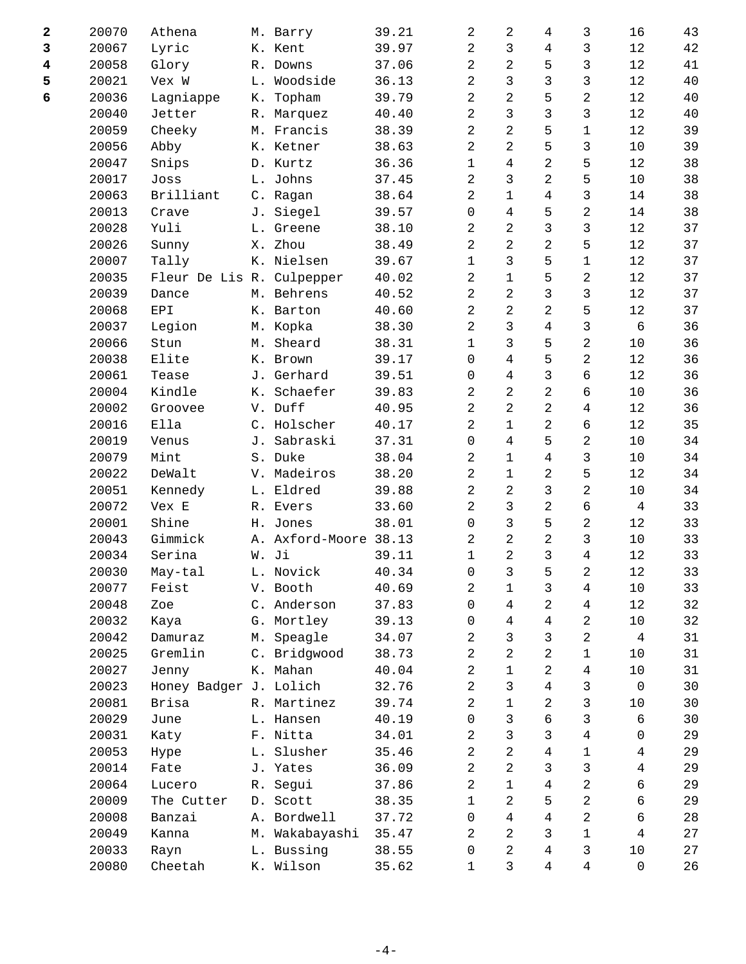| $\overline{\mathbf{2}}$ | 20070 | Athena                    |    | M. Barry              | 39.21 | 2              | 2              | $\overline{4}$ | 3              | 16                  | 43 |
|-------------------------|-------|---------------------------|----|-----------------------|-------|----------------|----------------|----------------|----------------|---------------------|----|
| 3                       | 20067 | Lyric                     |    | K. Kent               | 39.97 | 2              | $\mathbf{3}$   | 4              | 3              | 12                  | 42 |
| $\overline{\mathbf{4}}$ | 20058 | Glory                     |    | R. Downs              | 37.06 | $\overline{2}$ | 2              | 5              | 3              | 12                  | 41 |
| 5                       | 20021 | Vex W                     |    | L. Woodside           | 36.13 | 2              | 3              | 3              | 3              | $1\,2$              | 40 |
| 6                       | 20036 | Lagniappe                 | К. | Topham                | 39.79 | $\overline{2}$ | 2              | 5              | 2              | 12                  | 40 |
|                         | 20040 | Jetter                    |    | R. Marquez            | 40.40 | $\overline{2}$ | 3              | 3              | 3              | 12                  | 40 |
|                         | 20059 | Cheeky                    |    | M. Francis            | 38.39 | $\overline{2}$ | $\overline{2}$ | 5              | $\mathbf 1$    | 12                  | 39 |
|                         | 20056 | Abby                      |    | K. Ketner             | 38.63 | 2              | 2              | 5              | $\mathsf{3}$   | $10$                | 39 |
|                         | 20047 | Snips                     |    | D. Kurtz              | 36.36 | $\mathbf{1}$   | 4              | $\overline{a}$ | 5              | 12                  | 38 |
|                         | 20017 | Joss                      |    | L. Johns              | 37.45 | 2              | 3              | 2              | 5              | $10$                | 38 |
|                         | 20063 | Brilliant                 |    | C. Ragan              | 38.64 | $\overline{2}$ | $\mathbf{1}$   | $\overline{4}$ | 3              | 14                  | 38 |
|                         | 20013 | Crave                     |    | J. Siegel             | 39.57 | 0              | 4              | 5              | 2              | 14                  | 38 |
|                         | 20028 | Yuli                      |    | L. Greene             | 38.10 | 2              | $\overline{2}$ | 3              | 3              | $1\,2$              | 37 |
|                         | 20026 | Sunny                     | Х. | Zhou                  | 38.49 | 2              | 2              | 2              | 5              | 12                  | 37 |
|                         | 20007 | Tally                     |    | K. Nielsen            | 39.67 | $\mathbf{1}$   | 3              | 5              | 1              | 12                  | 37 |
|                         | 20035 | Fleur De Lis R. Culpepper |    |                       | 40.02 | 2              | $\mathbf{1}$   | 5              | $\overline{c}$ | $1\,2$              | 37 |
|                         | 20039 | Dance                     |    | M. Behrens            | 40.52 | $\overline{2}$ | 2              | 3              | $\mathsf{3}$   | 12                  | 37 |
|                         | 20068 | EPI                       |    | K. Barton             | 40.60 | 2              | 2              | 2              | 5              | 12                  | 37 |
|                         | 20037 | Legion                    |    | M. Kopka              | 38.30 | $\overline{2}$ | 3              | 4              | 3              | $\epsilon$          | 36 |
|                         | 20066 | Stun                      |    | M. Sheard             | 38.31 | $\mathbf{1}$   | 3              | 5              | $\overline{c}$ | $10$                | 36 |
|                         | 20038 | Elite                     |    | K. Brown              | 39.17 | $\Omega$       | 4              | 5              | 2              | $1\,2$              | 36 |
|                         | 20061 | Tease                     |    | J. Gerhard            | 39.51 | 0              | 4              | 3              | 6              | 12                  | 36 |
|                         | 20004 | Kindle                    | К. | Schaefer              | 39.83 | 2              | 2              | 2              | 6              | 10                  | 36 |
|                         | 20002 | Groovee                   |    | V. Duff               | 40.95 | $\overline{2}$ | $\overline{2}$ | $\overline{2}$ | $\overline{4}$ | 12                  | 36 |
|                         | 20016 | Ella                      |    | C. Holscher           | 40.17 | 2              | $\mathbf 1$    | 2              | б              | 12                  | 35 |
|                         | 20019 | Venus                     | J. | Sabraski              | 37.31 | $\Omega$       | 4              | 5              | $\overline{2}$ | 10                  | 34 |
|                         | 20079 | Mint                      |    | S. Duke               | 38.04 | 2              | 1              | 4              | 3              | 10                  | 34 |
|                         | 20022 | DeWalt                    |    | V. Madeiros           | 38.20 | $\overline{2}$ | $\mathbf 1$    | $\overline{a}$ | 5              | $1\,2$              | 34 |
|                         | 20051 | Kennedy                   |    | L. Eldred             | 39.88 | 2              | 2              | 3              | $\overline{c}$ | $10$                | 34 |
|                         | 20072 | Vex E                     |    | R. Evers              | 33.60 | 2              | 3              | 2              | 6              | 4                   | 33 |
|                         | 20001 | Shine                     | Η. | Jones                 | 38.01 | 0              | 3              | 5              | $\overline{c}$ | 12                  | 33 |
|                         | 20043 | Gimmick                   |    | A. Axford-Moore 38.13 |       | 2              | $\overline{c}$ | 2              | $\mathsf{3}$   | 10                  | 33 |
|                         | 20034 | Serina                    |    | W. Ji                 | 39.11 | $\mathbf{1}$   | $\overline{2}$ | 3              | $\overline{4}$ | 12                  | 33 |
|                         | 20030 | May-tal                   |    | L. Novick             | 40.34 | 0              | 3              | 5              | 2              | 12                  | 33 |
|                         | 20077 | Feist                     |    | V. Booth              | 40.69 | 2              | 1              | 3              | $\overline{4}$ | $10$                | 33 |
|                         | 20048 | Zoe                       |    | C. Anderson           | 37.83 | 0              | 4              | 2              | $\overline{4}$ | $1\,2$              | 32 |
|                         | 20032 | Kaya                      |    | G. Mortley            | 39.13 | 0              | 4              | 4              | 2              | $10$                | 32 |
|                         | 20042 | Damuraz                   | М. | Speagle               | 34.07 | 2              | 3              | 3              | 2              | 4                   | 31 |
|                         | 20025 | Gremlin                   |    | C. Bridgwood          | 38.73 | 2              | 2              | $\overline{a}$ | 1              | 10                  | 31 |
|                         | 20027 | Jenny                     |    | K. Mahan              | 40.04 | 2              | $\mathbf 1$    | $\overline{a}$ | $\overline{4}$ | $10$                | 31 |
|                         | 20023 | Honey Badger J. Lolich    |    |                       | 32.76 | 2              | 3              | 4              | 3              | $\mathsf{O}\xspace$ | 30 |
|                         | 20081 | Brisa                     |    | R. Martinez           | 39.74 | 2              | $\mathbf 1$    | $\overline{a}$ | 3              | $10$                | 30 |
|                         | 20029 | June                      |    | L. Hansen             | 40.19 | 0              | 3              | 6              | 3              | 6                   | 30 |
|                         | 20031 | Katy                      |    | F. Nitta              | 34.01 | 2              | 3              | 3              | $\overline{4}$ | 0                   | 29 |
|                         | 20053 | Hype                      |    | L. Slusher            | 35.46 | $\overline{2}$ | 2              | 4              | 1              | $\overline{4}$      | 29 |
|                         | 20014 | Fate                      |    | J. Yates              | 36.09 | 2              | 2              | 3              | 3              | $\overline{4}$      | 29 |
|                         | 20064 | Lucero                    |    | R. Segui              | 37.86 | 2              | $\mathbf 1$    | 4              | $\overline{c}$ | 6                   | 29 |
|                         | 20009 | The Cutter                |    | D. Scott              | 38.35 | 1              | 2              | 5              | 2              | 6                   | 29 |
|                         | 20008 | Banzai                    |    | A. Bordwell           | 37.72 | $\mathbf 0$    | 4              | 4              | 2              | 6                   | 28 |
|                         | 20049 | Kanna                     |    | M. Wakabayashi        | 35.47 | 2              | 2              | 3              | $\mathbf 1$    | $\overline{4}$      | 27 |
|                         | 20033 | Rayn                      |    | L. Bussing            | 38.55 | 0              | 2              | 4              | 3              | $10$                | 27 |
|                         | 20080 | Cheetah                   |    | K. Wilson             | 35.62 | 1              | 3              | $\overline{4}$ | $\overline{4}$ | $\mathsf{O}\xspace$ | 26 |
|                         |       |                           |    |                       |       |                |                |                |                |                     |    |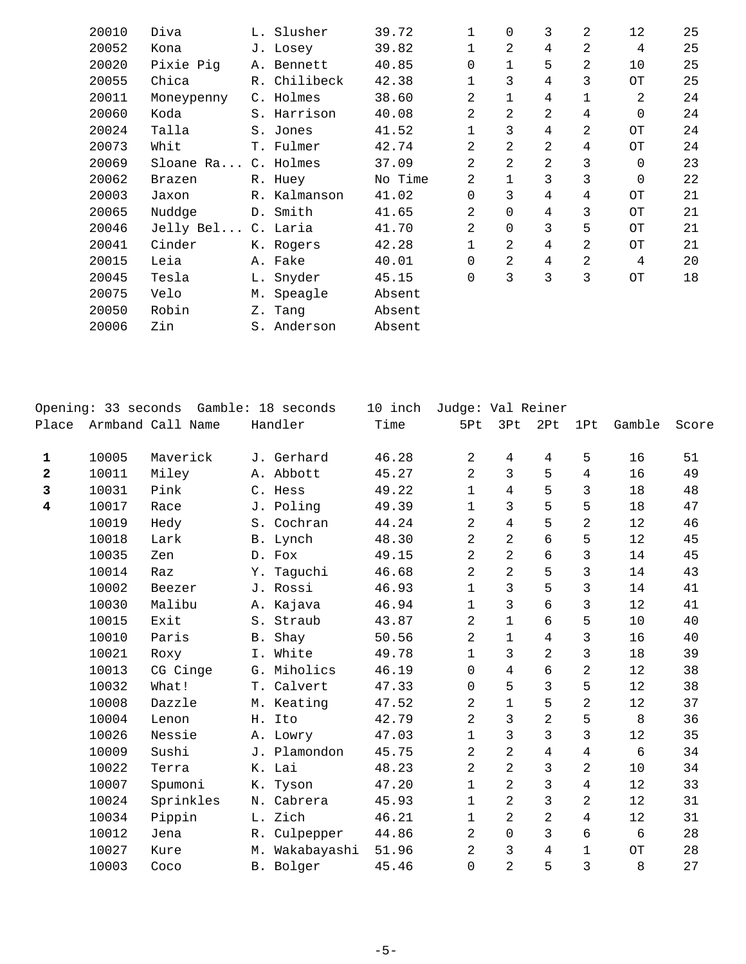| 20010 | Diva                |    | L. Slusher   | 39.72   | 1              | $\Omega$       | 3              | 2 | 12          | 25 |
|-------|---------------------|----|--------------|---------|----------------|----------------|----------------|---|-------------|----|
| 20052 | Kona                |    | J. Losey     | 39.82   | $\mathbf{1}$   | $\overline{2}$ | 4              | 2 | 4           | 25 |
| 20020 | Pixie Pig           |    | A. Bennett   | 40.85   | 0              | 1              | 5              | 2 | 10          | 25 |
| 20055 | Chica               |    | R. Chilibeck | 42.38   |                | 3              | 4              | 3 | OT          | 25 |
| 20011 | Moneypenny          |    | C. Holmes    | 38.60   | 2              | $\mathbf{1}$   | 4              | 1 | 2           | 24 |
| 20060 | Koda                |    | S. Harrison  | 40.08   | $\overline{2}$ | $\overline{2}$ | 2              | 4 | $\mathbf 0$ | 24 |
| 20024 | Talla               |    | S. Jones     | 41.52   |                | 3              | 4              | 2 | OT          | 24 |
| 20073 | Whit                |    | T. Fulmer    | 42.74   | $\overline{2}$ | 2              | 2              | 4 | OT          | 24 |
| 20069 | Sloane Ra C. Holmes |    |              | 37.09   | $\mathfrak{D}$ | $\overline{2}$ | $\overline{2}$ | 3 | $\Omega$    | 23 |
| 20062 | Brazen              |    | R. Huey      | No Time | $\overline{2}$ | $\mathbf{1}$   | 3              | 3 | $\mathbf 0$ | 22 |
| 20003 | Jaxon               |    | R. Kalmanson | 41.02   | 0              | 3              | 4              | 4 | OТ          | 21 |
| 20065 | Nuddge              |    | D. Smith     | 41.65   | $\overline{2}$ | $\Omega$       | 4              | 3 | OТ          | 21 |
| 20046 | Jelly Bel           |    | C. Laria     | 41.70   | $\overline{2}$ | $\Omega$       | 3              | 5 | OТ          | 21 |
| 20041 | Cinder              |    | K. Rogers    | 42.28   | $\mathbf 1$    | $\overline{2}$ | $\overline{4}$ | 2 | OТ          | 21 |
| 20015 | Leia                |    | A. Fake      | 40.01   | $\Omega$       | $\overline{2}$ | 4              | 2 | 4           | 20 |
| 20045 | Tesla               |    | L. Snyder    | 45.15   | 0              | 3              | 3              | 3 | OT          | 18 |
| 20075 | Velo                |    | M. Speagle   | Absent  |                |                |                |   |             |    |
| 20050 | Robin               |    | Z. Tang      | Absent  |                |                |                |   |             |    |
| 20006 | Zin                 | S. | Anderson     | Absent  |                |                |                |   |             |    |
|       |                     |    |              |         |                |                |                |   |             |    |

|                         | Opening: 33 seconds |                   |    | Gamble: 18 seconds | 10 inch | Judge: Val Reiner |                |                |                |        |       |
|-------------------------|---------------------|-------------------|----|--------------------|---------|-------------------|----------------|----------------|----------------|--------|-------|
| Place                   |                     | Armband Call Name |    | Handler            | Time    | 5Pt               | 3Pt            | 2Pt            | 1Pt            | Gamble | Score |
|                         |                     |                   |    |                    |         |                   |                |                |                |        |       |
| 1                       | 10005               | Maverick          |    | J. Gerhard         | 46.28   | $\overline{a}$    | 4              | 4              | 5              | 16     | 51    |
| $\overline{\mathbf{2}}$ | 10011               | Miley             |    | A. Abbott          | 45.27   | 2                 | 3              | 5              | $\overline{4}$ | 16     | 49    |
| 3                       | 10031               | Pink              |    | C. Hess            | 49.22   | $\mathbf 1$       | $\overline{4}$ | 5              | 3              | 18     | 48    |
| 4                       | 10017               | Race              |    | J. Poling          | 49.39   | $\mathbf 1$       | 3              | 5              | 5              | 18     | 47    |
|                         | 10019               | Hedy              |    | S. Cochran         | 44.24   | $\overline{a}$    | 4              | 5              | $\overline{2}$ | 12     | 46    |
|                         | 10018               | Lark              |    | B. Lynch           | 48.30   | $\overline{2}$    | 2              | 6              | 5              | 12     | 45    |
|                         | 10035               | Zen               |    | D. Fox             | 49.15   | $\overline{2}$    | $\overline{2}$ | 6              | 3              | 14     | 45    |
|                         | 10014               | Raz               |    | Y. Taquchi         | 46.68   | $\overline{2}$    | $\overline{2}$ | 5              | 3              | 14     | 43    |
|                         | 10002               | Beezer            |    | J. Rossi           | 46.93   | $\mathbf 1$       | 3              | 5              | 3              | 14     | 41    |
|                         | 10030               | Malibu            |    | A. Kajava          | 46.94   | $\mathbf 1$       | 3              | 6              | 3              | 12     | 41    |
|                         | 10015               | Exit              |    | S. Straub          | 43.87   | 2                 | $\mathbf 1$    | 6              | 5              | 10     | 40    |
|                         | 10010               | Paris             |    | B. Shay            | 50.56   | $\overline{a}$    | $\mathbf 1$    | $\overline{4}$ | 3              | 16     | 40    |
|                         | 10021               | Roxy              |    | I. White           | 49.78   | $\mathbf 1$       | 3              | $\overline{2}$ | 3              | 18     | 39    |
|                         | 10013               | CG Cinge          | G. | Miholics           | 46.19   | $\mathbf 0$       | 4              | 6              | $\overline{2}$ | 12     | 38    |
|                         | 10032               | What!             |    | T. Calvert         | 47.33   | 0                 | 5              | 3              | 5              | 12     | 38    |
|                         | 10008               | Dazzle            |    | M. Keating         | 47.52   | 2                 | 1              | 5              | $\overline{2}$ | 12     | 37    |
|                         | 10004               | Lenon             |    | H. Ito             | 42.79   | $\overline{2}$    | 3              | $\overline{2}$ | 5              | 8      | 36    |
|                         | 10026               | Nessie            |    | A. Lowry           | 47.03   | $\mathbf 1$       | 3              | 3              | 3              | 12     | 35    |
|                         | 10009               | Sushi             |    | J. Plamondon       | 45.75   | $\overline{a}$    | $\overline{2}$ | $\overline{4}$ | 4              | 6      | 34    |
|                         | 10022               | Terra             |    | K. Lai             | 48.23   | $\overline{2}$    | 2              | 3              | 2              | 10     | 34    |
|                         | 10007               | Spumoni           |    | K. Tyson           | 47.20   | $\mathbf 1$       | $\overline{2}$ | 3              | 4              | 12     | 33    |
|                         | 10024               | Sprinkles         |    | N. Cabrera         | 45.93   | $\mathbf{1}$      | $\overline{2}$ | 3              | 2              | 12     | 31    |
|                         | 10034               | Pippin            |    | L. Zich            | 46.21   | $\mathbf{1}$      | 2              | $\overline{2}$ | 4              | 12     | 31    |
|                         | 10012               | Jena              |    | R. Culpepper       | 44.86   | $\overline{a}$    | $\Omega$       | $\overline{3}$ | 6              | 6      | 28    |
|                         | 10027               | Kure              |    | M. Wakabayashi     | 51.96   | $\overline{a}$    | 3              | 4              | 1              | OТ     | 28    |
|                         | 10003               | Coco              |    | B. Bolger          | 45.46   | 0                 | $\overline{2}$ | 5              | 3              | 8      | 27    |
|                         |                     |                   |    |                    |         |                   |                |                |                |        |       |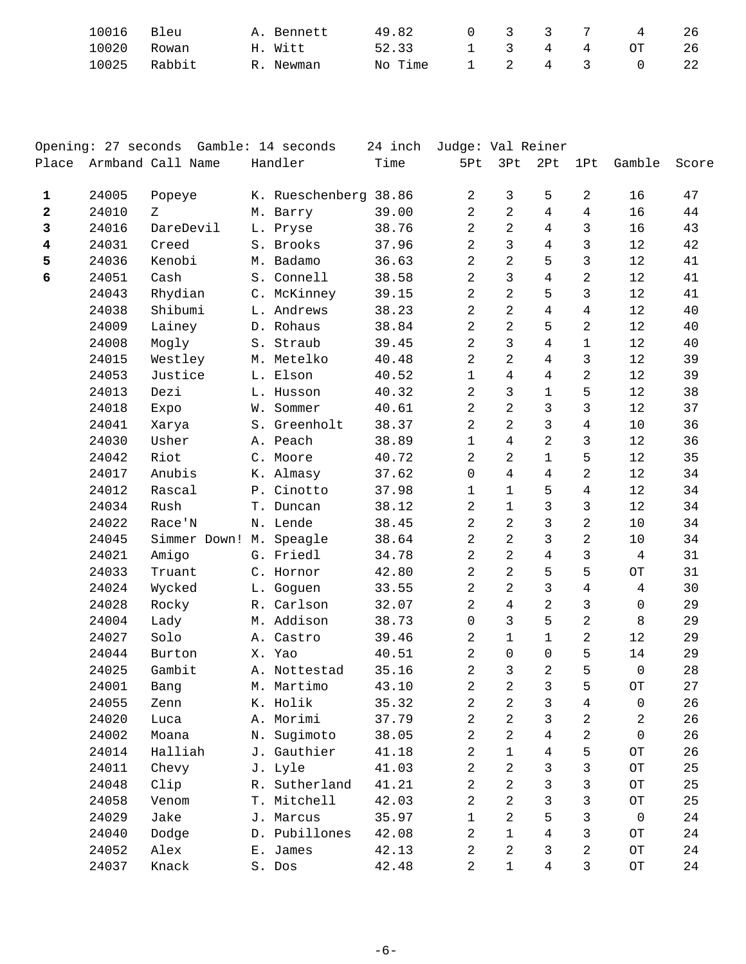| 10016<br>Bleu   | A. Bennett | 49.82         | 0 3 3 7 |  | $\sim$ 4 | 26  |
|-----------------|------------|---------------|---------|--|----------|-----|
| 10020<br>Rowan  | H. Witt    | 52.33 1 3 4 4 |         |  | OT       | -26 |
| 10025<br>Rabbit | R. Newman  | No Time       | 1 2 4 3 |  |          | -22 |

|                         |       | Opening: 27 seconds Gamble: 14 seconds |    |                       | 24 inch | Judge: Val Reiner   |                |                |                |                      |       |
|-------------------------|-------|----------------------------------------|----|-----------------------|---------|---------------------|----------------|----------------|----------------|----------------------|-------|
| Place                   |       | Armband Call Name                      |    | Handler               | Time    | 5Pt                 | 3Pt            | 2Pt            | 1Pt            | Gamble               | Score |
| 1                       | 24005 | Popeye                                 |    | K. Rueschenberg 38.86 |         | $\overline{a}$      | 3              | 5              | 2              | 16                   | 47    |
| $\mathbf{2}$            | 24010 | Ζ                                      |    | M. Barry              | 39.00   | $\overline{c}$      | $\overline{2}$ | $\overline{4}$ | $\overline{4}$ | 16                   | 44    |
| 3                       | 24016 | DareDevil                              |    | L. Pryse              | 38.76   | $\overline{a}$      | $\overline{2}$ | $\overline{4}$ | 3              | 16                   | 43    |
| $\overline{\mathbf{4}}$ | 24031 | Creed                                  |    | S. Brooks             | 37.96   | $\overline{2}$      | 3              | 4              | 3              | 12                   | 42    |
| 5                       | 24036 | Kenobi                                 |    | M. Badamo             | 36.63   | $\overline{2}$      | $\overline{a}$ | 5              | 3              | 12                   | 41    |
| 6                       | 24051 | Cash                                   |    | S. Connell            | 38.58   | $\overline{a}$      | 3              | $\overline{4}$ | 2              | 12                   | 41    |
|                         | 24043 | Rhydian                                |    | C. McKinney           | 39.15   | $\overline{a}$      | $\overline{2}$ | 5              | 3              | 12                   | 41    |
|                         | 24038 | Shibumi                                |    | L. Andrews            | 38.23   | $\overline{2}$      | 2              | 4              | 4              | 12                   | 40    |
|                         | 24009 | Lainey                                 |    | D. Rohaus             | 38.84   | $\overline{2}$      | 2              | 5              | 2              | 12                   | 40    |
|                         | 24008 | Mogly                                  |    | S. Straub             | 39.45   | $\overline{a}$      | $\mathsf{3}$   | $\overline{4}$ | $\mathbf{1}$   | 12                   | 40    |
|                         | 24015 | Westley                                |    | M. Metelko            | 40.48   | $\overline{a}$      | $\overline{2}$ | $\overline{4}$ | 3              | 12                   | 39    |
|                         | 24053 | Justice                                |    | L. Elson              | 40.52   | $\mathbf{1}$        | 4              | 4              | 2              | 12                   | 39    |
|                         | 24013 | Dezi                                   |    | L. Husson             | 40.32   | $\overline{a}$      | 3              | $\mathbf{1}$   | 5              | 12                   | 38    |
|                         | 24018 | Expo                                   |    | W. Sommer             | 40.61   | $\overline{a}$      | 2              | 3              | 3              | 12                   | 37    |
|                         | 24041 | Xarya                                  |    | S. Greenholt          | 38.37   | $\overline{a}$      | $\overline{2}$ | $\mathfrak{Z}$ | 4              | $10$                 | 36    |
|                         | 24030 | Usher                                  |    | A. Peach              | 38.89   | $\mathbf{1}$        | 4              | $\overline{2}$ | 3              | 12                   | 36    |
|                         | 24042 | Riot                                   |    | C. Moore              | 40.72   | 2                   | 2              | $\mathbf{1}$   | 5              | 12                   | 35    |
|                         | 24017 | Anubis                                 |    | K. Almasy             | 37.62   | $\mathsf{O}\xspace$ | $\overline{4}$ | $\overline{4}$ | 2              | $12$                 | 34    |
|                         | 24012 | Rascal                                 |    | P. Cinotto            | 37.98   | $\mathbf{1}$        | $\mathbf 1$    | 5              | 4              | 12                   | 34    |
|                         | 24034 | Rush                                   |    | T. Duncan             | 38.12   | $\overline{c}$      | $\mathbf 1$    | 3              | 3              | 12                   | 34    |
|                         | 24022 | Race'N                                 |    | N. Lende              | 38.45   | $\overline{a}$      | $\overline{a}$ | 3              | 2              | $10$                 | 34    |
|                         | 24045 | Simmer Down! M. Speagle                |    |                       | 38.64   | $\overline{a}$      | $\overline{a}$ | $\mathbf{3}$   | 2              | 10                   | 34    |
|                         | 24021 | Amigo                                  |    | G. Friedl             | 34.78   | $\overline{a}$      | $\overline{2}$ | $\overline{4}$ | 3              | 4                    | 31    |
|                         | 24033 | Truant                                 |    | C. Hornor             | 42.80   | $\overline{a}$      | $\overline{2}$ | 5              | 5              | $\mathbb T\mathbb O$ | 31    |
|                         | 24024 | Wycked                                 |    | L. Goguen             | 33.55   | $\overline{a}$      | $\overline{a}$ | $\mathbf{3}$   | 4              | 4                    | 30    |
|                         | 24028 | Rocky                                  |    | R. Carlson            | 32.07   | $\overline{a}$      | $\overline{4}$ | $\overline{a}$ | 3              | $\mathbf 0$          | 29    |
|                         | 24004 | Lady                                   |    | M. Addison            | 38.73   | $\mathsf{O}\xspace$ | $\mathbf{3}$   | 5              | 2              | 8                    | 29    |
|                         | 24027 | Solo                                   |    | A. Castro             | 39.46   | 2                   | $\mathbf 1$    | $\mathbf{1}$   | 2              | 12                   | 29    |
|                         | 24044 | Burton                                 |    | X. Yao                | 40.51   | $\overline{a}$      | 0              | 0              | 5              | 14                   | 29    |
|                         | 24025 | Gambit                                 |    | A. Nottestad          | 35.16   | $\overline{a}$      | 3              | $\overline{2}$ | 5              | $\mathbf 0$          | 28    |
|                         | 24001 | Bang                                   |    | M. Martimo            | 43.10   | $\overline{a}$      | $\overline{a}$ | $\mathsf{3}$   | 5              | $\hbox{OT}$          | 27    |
|                         | 24055 | Zenn                                   |    | K. Holik              | 35.32   | $\mathbf{2}$        | 2              | 3              | 4              | 0                    | 26    |
|                         | 24020 | Luca                                   | Α. | Morimi                | 37.79   | $\overline{c}$      | 2              | 3              | 2              | 2                    | 26    |
|                         | 24002 | Moana                                  | Ν. | Sugimoto              | 38.05   | 2                   | 2              | 4              | 2              | $\Omega$             | 26    |
|                         | 24014 | Halliah                                | J. | Gauthier              | 41.18   | 2                   | $\mathbf{1}$   | 4              | 5              | $\hbox{O}\hbox{T}$   | 26    |
|                         | 24011 | Chevy                                  | J. | Lyle                  | 41.03   | $\overline{a}$      | 2              | 3              | 3              | $\hbox{O}\hbox{T}$   | 25    |
|                         | 24048 | Clip                                   | R. | Sutherland            | 41.21   | 2                   | 2              | 3              | 3              | $\hbox{O}\hbox{T}$   | 25    |
|                         | 24058 | Venom                                  | Τ. | Mitchell              | 42.03   | $\overline{a}$      | 2              | 3              | 3              | $\hbox{O}\hbox{T}$   | 25    |
|                         | 24029 | Jake                                   |    | J. Marcus             | 35.97   | $\mathbf{1}$        | 2              | 5              | 3              | 0                    | 24    |
|                         | 24040 | Dodge                                  |    | D. Pubillones         | 42.08   | $\overline{c}$      | $\mathbf{1}$   | 4              | 3              | $\hbox{O}\hbox{T}$   | 24    |
|                         | 24052 | Alex                                   | Ε. | James                 | 42.13   | $\overline{c}$      | 2              | 3              | 2              | $\hbox{O}\hbox{T}$   | 24    |
|                         | 24037 | Knack                                  |    | S. Dos                | 42.48   | $\overline{a}$      | $\mathbf 1$    | $\overline{4}$ | 3              | $\hbox{O}\hbox{T}$   | 24    |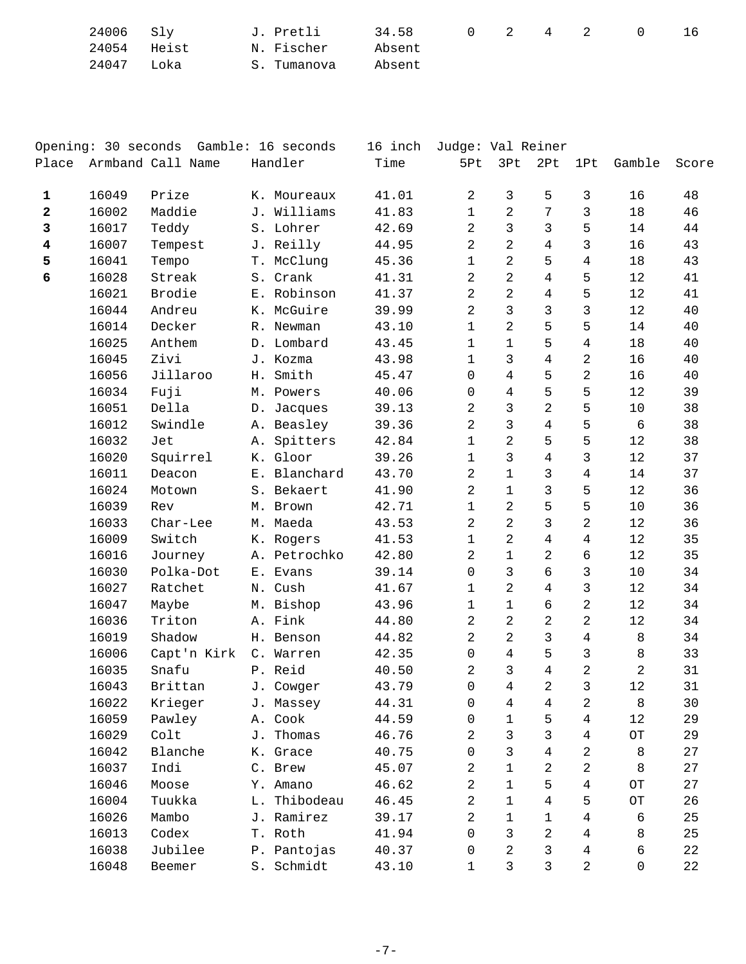| 24006 Sly   |      |                          |        |  |  | 16 |
|-------------|------|--------------------------|--------|--|--|----|
| 24054 Heist |      | N. Fischer        Absent |        |  |  |    |
| 24047       | Loka | S. Tumanova              | Absent |  |  |    |

|                         |       | Opening: 30 seconds Gamble: 16 seconds |    |              | 16 inch | Judge: Val Reiner |                |                |                |             |       |
|-------------------------|-------|----------------------------------------|----|--------------|---------|-------------------|----------------|----------------|----------------|-------------|-------|
| Place                   |       | Armband Call Name                      |    | Handler      | Time    | 5Pt               | 3Pt            | 2Pt            | 1Pt            | Gamble      | Score |
| 1                       | 16049 | Prize                                  |    | K. Moureaux  | 41.01   | $\sqrt{2}$        | 3              | 5              | 3              | 16          | 48    |
| 2                       | 16002 | Maddie                                 |    | J. Williams  | 41.83   | $\mathbf{1}$      | $\overline{2}$ | $\overline{7}$ | $\mathfrak{Z}$ | 18          | 46    |
| 3                       | 16017 | Teddy                                  |    | S. Lohrer    | 42.69   | 2                 | $\mathbf{3}$   | $\mathsf{3}$   | 5              | 14          | 44    |
| $\overline{\mathbf{4}}$ | 16007 | Tempest                                |    | J. Reilly    | 44.95   | $\overline{a}$    | $\overline{2}$ | $\overline{4}$ | 3              | 16          | 43    |
| 5                       | 16041 | Tempo                                  | Τ. | McClung      | 45.36   | $\mathbf{1}$      | $\overline{a}$ | 5              | 4              | 18          | 43    |
| 6                       | 16028 | Streak                                 |    | S. Crank     | 41.31   | 2                 | $\overline{2}$ | 4              | 5              | 12          | 41    |
|                         | 16021 | Brodie                                 |    | E. Robinson  | 41.37   | $\overline{a}$    | $\overline{2}$ | $\overline{4}$ | 5              | 12          | 41    |
|                         | 16044 | Andreu                                 |    | K. McGuire   | 39.99   | 2                 | $\overline{3}$ | $\overline{3}$ | 3              | 12          | 40    |
|                         | 16014 | Decker                                 |    | R. Newman    | 43.10   | $\mathbf{1}$      | $\overline{2}$ | 5              | 5              | 14          | 40    |
|                         | 16025 | Anthem                                 |    | D. Lombard   | 43.45   | $\mathbf{1}$      | $\mathbf{1}$   | 5              | 4              | 18          | 40    |
|                         | 16045 | Zivi                                   |    | J. Kozma     | 43.98   | $\mathbf{1}$      | $\mathsf{3}$   | $\overline{4}$ | 2              | 16          | 40    |
|                         | 16056 | Jillaroo                               |    | H. Smith     | 45.47   | 0                 | 4              | 5              | 2              | 16          | 40    |
|                         | 16034 | Fuji                                   |    | M. Powers    | 40.06   | 0                 | $\overline{4}$ | 5              | 5              | 12          | 39    |
|                         | 16051 | Della                                  |    | D. Jacques   | 39.13   | 2                 | $\mathsf{3}$   | $\overline{a}$ | 5              | 10          | 38    |
|                         | 16012 | Swindle                                |    | A. Beasley   | 39.36   | $\overline{a}$    | $\mathsf{3}$   | $\overline{4}$ | 5              | $\sqrt{6}$  | 38    |
|                         | 16032 | Jet                                    |    | A. Spitters  | 42.84   | $\mathbf{1}$      | $\overline{2}$ | 5              | 5              | 12          | 38    |
|                         | 16020 | Squirrel                               |    | K. Gloor     | 39.26   | 1                 | 3              | $\overline{4}$ | 3              | 12          | 37    |
|                         | 16011 | Deacon                                 |    | E. Blanchard | 43.70   | 2                 | $\mathbf{1}$   | 3              | 4              | 14          | 37    |
|                         | 16024 | Motown                                 |    | S. Bekaert   | 41.90   | 2                 | $\mathbf{1}$   | $\mathfrak{Z}$ | 5              | 12          | 36    |
|                         | 16039 | Rev                                    |    | M. Brown     | 42.71   | $\mathbf{1}$      | $\overline{a}$ | 5              | 5              | $10$        | 36    |
|                         | 16033 | Char-Lee                               |    | M. Maeda     | 43.53   | 2                 | 2              | 3              | 2              | 12          | 36    |
|                         | 16009 | Switch                                 |    | K. Rogers    | 41.53   | 1                 | $\overline{2}$ | $\overline{4}$ | 4              | 12          | 35    |
|                         | 16016 | Journey                                |    | A. Petrochko | 42.80   | 2                 | $\mathbf{1}$   | $\overline{a}$ | 6              | $12$        | 35    |
|                         | 16030 | Polka-Dot                              |    | E. Evans     | 39.14   | 0                 | $\mathbf{3}$   | 6              | $\mathsf{3}$   | $10$        | 34    |
|                         | 16027 | Ratchet                                |    | N. Cush      | 41.67   | $\mathbf{1}$      | $\overline{2}$ | $\overline{4}$ | $\mathbf{3}$   | 12          | 34    |
|                         | 16047 | Maybe                                  |    | M. Bishop    | 43.96   | $\mathbf{1}$      | $\mathbf{1}$   | 6              | $\overline{c}$ | 12          | 34    |
|                         | 16036 | Triton                                 |    | A. Fink      | 44.80   | 2                 | $\overline{2}$ | $\overline{a}$ | 2              | 12          | 34    |
|                         | 16019 | Shadow                                 |    | H. Benson    | 44.82   | $\overline{a}$    | $\overline{2}$ | $\mathfrak{Z}$ | $\overline{4}$ | 8           | 34    |
|                         | 16006 | Capt'n Kirk                            |    | C. Warren    | 42.35   | $\mathbf 0$       | $\overline{4}$ | 5              | 3              | 8           | 33    |
|                         | 16035 | Snafu                                  |    | P. Reid      | 40.50   | 2                 | 3              | 4              | 2              | 2           | 31    |
|                         | 16043 | Brittan                                |    | J. Cowger    | 43.79   | $\Omega$          | 4              | $\overline{a}$ | $\mathsf{3}$   | $12$        | 31    |
|                         | 16022 | Krieger                                |    | J. Massey    | 44.31   | 0                 | 4              | 4              | 2              | 8           | 30    |
|                         | 16059 | Pawley                                 |    | A. Cook      | 44.59   | 0                 | 1              | 5              | 4              | 12          | 29    |
|                         | 16029 | Colt                                   | J. | Thomas       | 46.76   | 2                 | 3              | 3              | 4              | $\hbox{OT}$ | 29    |
|                         | 16042 | Blanche                                |    | K. Grace     | 40.75   | 0                 | 3              | 4              | 2              | 8           | 27    |
|                         | 16037 | Indi                                   |    | C. Brew      | 45.07   | 2                 | $\mathbf 1$    | 2              | 2              | 8           | 27    |
|                         | 16046 | Moose                                  |    | Y. Amano     | 46.62   | 2                 | 1              | 5              | 4              | $\hbox{OT}$ | 27    |
|                         | 16004 | Tuukka                                 | L. | Thibodeau    | 46.45   | 2                 | 1              | 4              | 5              | $\hbox{OT}$ | 26    |
|                         | 16026 | Mambo                                  |    | J. Ramirez   | 39.17   | 2                 | 1              | 1              | 4              | 6           | 25    |
|                         | 16013 | Codex                                  |    | T. Roth      | 41.94   | 0                 | 3              | $\overline{a}$ | 4              | 8           | 25    |
|                         | 16038 | Jubilee                                |    | P. Pantojas  | 40.37   | 0                 | 2              | 3              | 4              | 6           | 22    |
|                         | 16048 | Beemer                                 | S. | Schmidt      | 43.10   | 1                 | 3              | 3              | 2              | 0           | 22    |